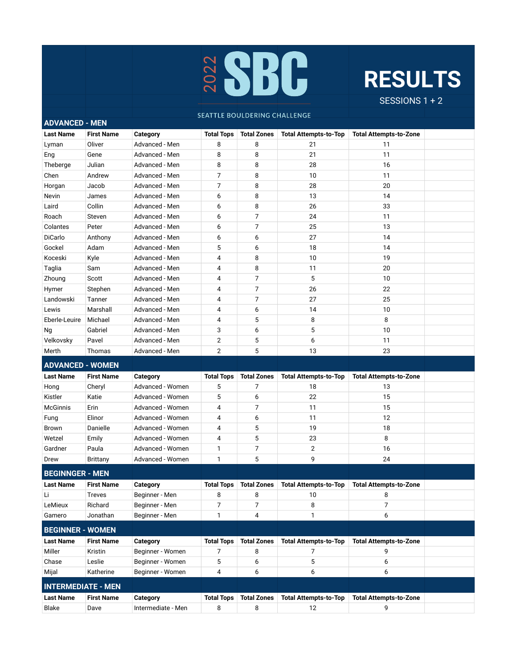

## **RESULTS**

SESSIONS 1 + 2

## SEATTLE BOULDERING CHALLENGE

**ADVANCED - MEN**

| <b>Last Name</b>          | <b>First Name</b> | <b>Category</b>    | <b>Total Tops</b> | <b>Total Zones</b> | <b>Total Attempts-to-Top</b> | <b>Total Attempts-to-Zone</b> |  |
|---------------------------|-------------------|--------------------|-------------------|--------------------|------------------------------|-------------------------------|--|
| Lyman                     | Oliver            | Advanced - Men     | 8                 | 8                  | 21                           | 11                            |  |
| Eng                       | Gene              | Advanced - Men     | 8                 | 8                  | 21                           | 11                            |  |
| Theberge                  | Julian            | Advanced - Men     | 8                 | 8                  | 28                           | 16                            |  |
| Chen                      | Andrew            | Advanced - Men     | 7                 | 8                  | 10                           | 11                            |  |
| Horgan                    | Jacob             | Advanced - Men     | 7                 | 8                  | 28                           | 20                            |  |
| Nevin                     | James             | Advanced - Men     | 6                 | 8                  | 13                           | 14                            |  |
| Laird                     | Collin            | Advanced - Men     | 6                 | 8                  | 26                           | 33                            |  |
| Roach                     | Steven            | Advanced - Men     | 6                 | 7                  | 24                           | 11                            |  |
| Colantes                  | Peter             | Advanced - Men     | 6                 | 7                  | 25                           | 13                            |  |
| DiCarlo                   | Anthony           | Advanced - Men     | 6                 | 6                  | 27                           | 14                            |  |
| Gockel                    | Adam              | Advanced - Men     | 5                 | 6                  | 18                           | 14                            |  |
| Koceski                   | Kyle              | Advanced - Men     | 4                 | 8                  | 10                           | 19                            |  |
| Taglia                    | Sam               | Advanced - Men     | 4                 | 8                  | 11                           | 20                            |  |
| Zhoung                    | Scott             | Advanced - Men     | 4                 | $\overline{7}$     | 5                            | 10                            |  |
| Hymer                     | Stephen           | Advanced - Men     | 4                 | $\overline{7}$     | 26                           | 22                            |  |
| Landowski                 | Tanner            | Advanced - Men     | 4                 | $\overline{7}$     | 27                           | 25                            |  |
| Lewis                     | Marshall          | Advanced - Men     | 4                 | 6                  | 14                           | 10                            |  |
| Eberle-Leuire             | Michael           | Advanced - Men     | 4                 | 5                  | 8                            | 8                             |  |
| Ng                        | Gabriel           | Advanced - Men     | 3                 | 6                  | 5                            | 10                            |  |
| Velkovsky                 | Pavel             | Advanced - Men     | $\overline{2}$    | 5                  | 6                            | 11                            |  |
| Merth                     | Thomas            | Advanced - Men     | $\overline{2}$    | 5                  | 13                           | 23                            |  |
| <b>ADVANCED - WOMEN</b>   |                   |                    |                   |                    |                              |                               |  |
| <b>Last Name</b>          | <b>First Name</b> | Category           | <b>Total Tops</b> | <b>Total Zones</b> | <b>Total Attempts-to-Top</b> | <b>Total Attempts-to-Zone</b> |  |
| Hong                      | Cheryl            | Advanced - Women   | 5                 | 7                  | 18                           | 13                            |  |
| Kistler                   | Katie             | Advanced - Women   | 5                 | 6                  | 22                           | 15                            |  |
| <b>McGinnis</b>           | Erin              | Advanced - Women   | 4                 | $\overline{7}$     | 11                           | 15                            |  |
| Fung                      | Elinor            | Advanced - Women   | 4                 | 6                  | 11                           | 12                            |  |
| <b>Brown</b>              | Danielle          | Advanced - Women   | 4                 | 5                  | 19                           | 18                            |  |
| Wetzel                    | Emily             | Advanced - Women   | 4                 | 5                  | 23                           | 8                             |  |
| Gardner                   | Paula             | Advanced - Women   | 1                 | 7                  | $\mathbf{2}$                 | 16                            |  |
| Drew                      | <b>Brittany</b>   | Advanced - Women   | 1                 | 5                  | 9                            | 24                            |  |
| <b>BEGINNGER - MEN</b>    |                   |                    |                   |                    |                              |                               |  |
| <b>Last Name</b>          | <b>First Name</b> | <b>Category</b>    | <b>Total Tops</b> | <b>Total Zones</b> | <b>Total Attempts-to-Top</b> | <b>Total Attempts-to-Zone</b> |  |
| Li                        | <b>Treves</b>     | Beginner - Men     | 8                 | 8                  | 10                           | 8                             |  |
| LeMieux                   | Richard           | Beginner - Men     | $\overline{7}$    | $\overline{7}$     | 8                            | 7                             |  |
| Gamero                    | Jonathan          | Beginner - Men     | 1                 | 4                  | 1                            | 6                             |  |
|                           |                   |                    |                   |                    |                              |                               |  |
| <b>BEGINNER - WOMEN</b>   |                   |                    |                   |                    |                              |                               |  |
| <b>Last Name</b>          | <b>First Name</b> | Category           | <b>Total Tops</b> | <b>Total Zones</b> | <b>Total Attempts-to-Top</b> | <b>Total Attempts-to-Zone</b> |  |
| Miller                    | Kristin           | Beginner - Women   | 7                 | 8                  | 7                            | 9                             |  |
| Chase                     | Leslie            | Beginner - Women   | 5                 | 6                  | 5                            | 6                             |  |
| Mijal                     | Katherine         | Beginner - Women   | 4                 | 6                  | 6                            | 6                             |  |
| <b>INTERMEDIATE - MEN</b> |                   |                    |                   |                    |                              |                               |  |
| <b>Last Name</b>          | <b>First Name</b> | Category           | <b>Total Tops</b> | <b>Total Zones</b> | <b>Total Attempts-to-Top</b> | <b>Total Attempts-to-Zone</b> |  |
| Blake                     | Dave              | Intermediate - Men | 8                 | 8                  | 12                           | 9                             |  |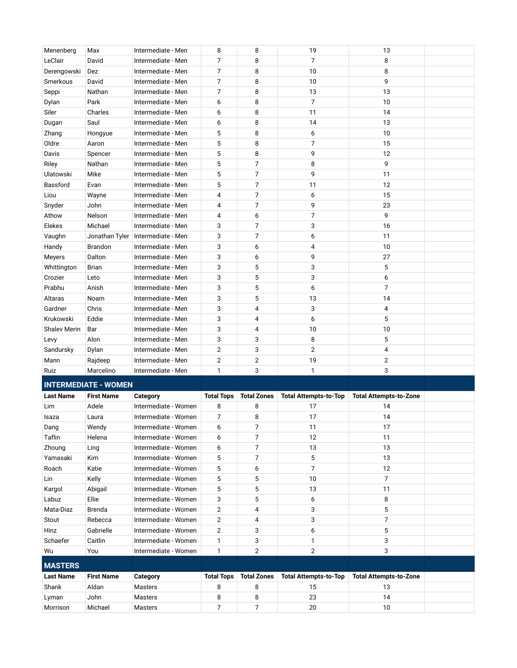| Menenberg           | Max                         | Intermediate - Men    | 8                 | 8              | 19                                  | 13                            |  |
|---------------------|-----------------------------|-----------------------|-------------------|----------------|-------------------------------------|-------------------------------|--|
| LeClair             | David                       | Intermediate - Men    | $\overline{7}$    | 8              | $\overline{7}$                      | 8                             |  |
| Derengowski         | Dez                         | Intermediate - Men    | 7                 | 8              | 10                                  | 8                             |  |
| Smerkous            | David                       | Intermediate - Men    | $\overline{7}$    | 8              | 10                                  | 9                             |  |
| Seppi               | Nathan                      | Intermediate - Men    | 7                 | 8              | 13                                  | 13                            |  |
| Dylan               | Park                        | Intermediate - Men    | 6                 | 8              | $\overline{7}$                      | 10                            |  |
| Siler               | Charles                     | Intermediate - Men    | 6                 | 8              | 11                                  | 14                            |  |
| Dugan               | Saul                        | Intermediate - Men    | 6                 | 8              | 14                                  | 13                            |  |
| Zhang               | Hongyue                     | Intermediate - Men    | 5                 | 8              | 6                                   | 10                            |  |
| Oldre               | Aaron                       | Intermediate - Men    | 5                 | 8              | $\overline{7}$                      | 15                            |  |
| Davis               | Spencer                     | Intermediate - Men    | 5                 | 8              | 9                                   | 12                            |  |
| Riley               | Nathan                      | Intermediate - Men    | 5                 | $\overline{7}$ | 8                                   | 9                             |  |
| Ulatowski           | Mike                        | Intermediate - Men    | 5                 | $\overline{7}$ | 9                                   | 11                            |  |
| Bassford            | Evan                        | Intermediate - Men    | 5                 | $\overline{7}$ | 11                                  | 12                            |  |
| Liou                | Wayne                       | Intermediate - Men    | 4                 | $\overline{7}$ | 6                                   | 15                            |  |
| Snyder              | John                        | Intermediate - Men    | 4                 | $\overline{7}$ | 9                                   | 23                            |  |
| Athow               | Nelson                      | Intermediate - Men    | 4                 | 6              | $\overline{7}$                      | 9                             |  |
| Elekes              | Michael                     | Intermediate - Men    | 3                 | $\overline{7}$ | 3                                   | 16                            |  |
| Vaughn              | Jonathan Tyler              | Intermediate - Men    | 3                 | $\overline{7}$ | 6                                   | 11                            |  |
| Handy               | <b>Brandon</b>              | Intermediate - Men    | 3                 | 6              | 4                                   | 10                            |  |
| Meyers              | Dalton                      | Intermediate - Men    | 3                 | 6              | 9                                   | 27                            |  |
| Whittington         | <b>Brian</b>                | Intermediate - Men    | 3                 | 5              | 3                                   | 5                             |  |
| Crozier             | Leto                        | Intermediate - Men    | 3                 | 5              | 3                                   | 6                             |  |
| Prabhu              | Anish                       | Intermediate - Men    | 3                 | 5              | 6                                   | $\overline{7}$                |  |
| Altaras             | Noam                        | Intermediate - Men    | 3                 | 5              | 13                                  | 14                            |  |
| Gardner             | Chris                       | Intermediate - Men    | 3                 | $\overline{4}$ | 3                                   | 4                             |  |
| Krukowski           | Eddie                       | Intermediate - Men    | 3                 | $\overline{4}$ | 6                                   | 5                             |  |
| <b>Shalev Merin</b> | Bar                         | Intermediate - Men    | 3                 | 4              | 10                                  | 10                            |  |
| Levy                | Alon                        | Intermediate - Men    | 3                 | 3              | 8                                   | 5                             |  |
| Sandursky           | Dylan                       | Intermediate - Men    | $\overline{2}$    | 3              | $\overline{2}$                      | 4                             |  |
| Mann                | Rajdeep                     | Intermediate - Men    | $\overline{2}$    | $\overline{2}$ | 19                                  | $\overline{2}$                |  |
| Ruiz                | Marcelino                   | Intermediate - Men    | 1                 | 3              | 1                                   | 3                             |  |
|                     | <b>INTERMEDIATE - WOMEN</b> |                       |                   |                |                                     |                               |  |
|                     |                             |                       |                   |                |                                     |                               |  |
| <b>Last Name</b>    | <b>First Name</b>           | <b>Category</b>       | <b>Total Tops</b> |                | Total Zones   Total Attempts-to-Top | <b>Total Attempts-to-Zone</b> |  |
| 1.3                 | $A = I - I -$               | International Mension | $\Omega$          | $\Omega$       | 77                                  | 7 <sub>A</sub>                |  |

| <b>Last Name</b> | <b>First Name</b> | Category             | <b>Total Tops</b> | <b>Total Zones</b> | <b>Total Attempts-to-Top</b> | <b>Total Attempts-to-Zone</b> |  |
|------------------|-------------------|----------------------|-------------------|--------------------|------------------------------|-------------------------------|--|
| Lim              | Adele             | Intermediate - Women | 8                 | 8                  | 17                           | 14                            |  |
| Isaza            | Laura             | Intermediate - Women | 7                 | 8                  | 17                           | 14                            |  |
| Dang             | Wendy             | Intermediate - Women | 6                 | 7                  | 11                           | 17                            |  |
| Taflin           | Helena            | Intermediate - Women | 6                 | 7                  | 12                           | 11                            |  |
| Zhoung           | Ling              | Intermediate - Women | 6                 | 7                  | 13                           | 13                            |  |
| Yamasaki         | Kim               | Intermediate - Women | 5                 | 7                  | 5                            | 13                            |  |
| Roach            | Katie             | Intermediate - Women | 5                 | 6                  |                              | 12                            |  |
| Lin              | Kelly             | Intermediate - Women | 5                 | 5                  | 10                           | 7                             |  |
| Kargol           | Abigail           | Intermediate - Women | 5                 | 5                  | 13                           | 11                            |  |
| Labuz            | Ellie             | Intermediate - Women | 3                 | 5                  | 6                            | 8                             |  |
| Mata-Diaz        | <b>Brenda</b>     | Intermediate - Women | $\overline{2}$    | 4                  | 3                            | 5                             |  |
| Stout            | Rebecca           | Intermediate - Women | $\overline{2}$    | 4                  | 3                            | 7                             |  |
| Hinz             | Gabrielle         | Intermediate - Women | 2                 | 3                  | 6                            | 5                             |  |
| Schaefer         | Caitlin           | Intermediate - Women | 1                 | 3                  |                              | 3                             |  |
| Wu               | You               | Intermediate - Women | 1                 | $\overline{2}$     | 2                            | 3                             |  |
| <b>MASTERS</b>   |                   |                      |                   |                    |                              |                               |  |
| <b>Last Name</b> | <b>First Name</b> | Category             | <b>Total Tops</b> | <b>Total Zones</b> | <b>Total Attempts-to-Top</b> | <b>Total Attempts-to-Zone</b> |  |
| Shank            | Aldan             | <b>Masters</b>       | 8                 | 8                  | 15                           | 13                            |  |
| Lyman            | John              | <b>Masters</b>       | 8                 | 8                  | 23                           | 14                            |  |
| Morrison         | Michael           | <b>Masters</b>       | $\overline{7}$    | 7                  | 20                           | 10                            |  |